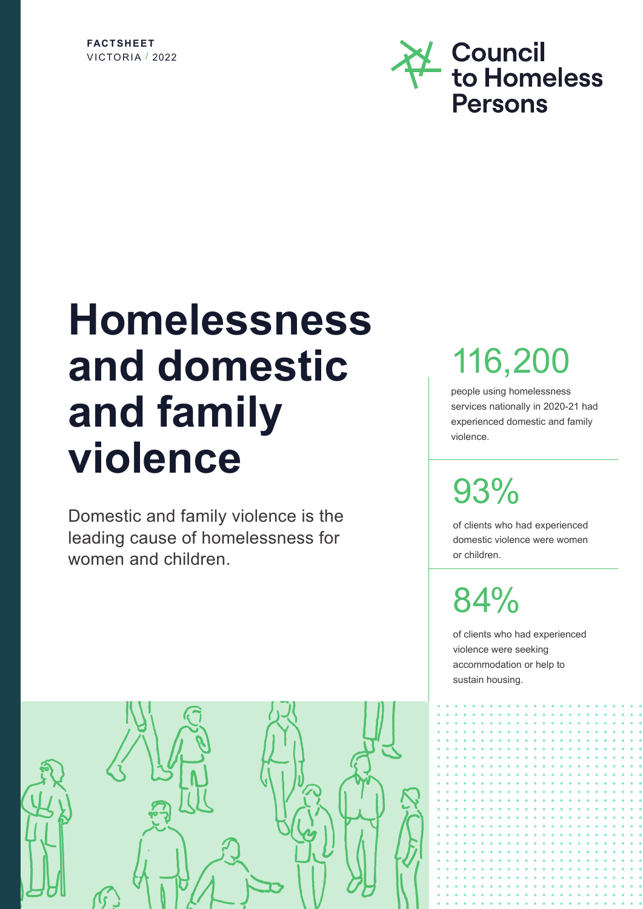### **FACTSHEET** VICTORIA / 2022



# **Homelessness and domestic and family violence**

Domestic and family violence is the leading cause of homelessness for women and children.

# 116,200

people using homelessness services nationally in 2020-21 had experienced domestic and family violence.

# 93%

of clients who had experienced domestic violence were women or children.

84%

of clients who had experienced violence were seeking accommodation or help to sustain housing.

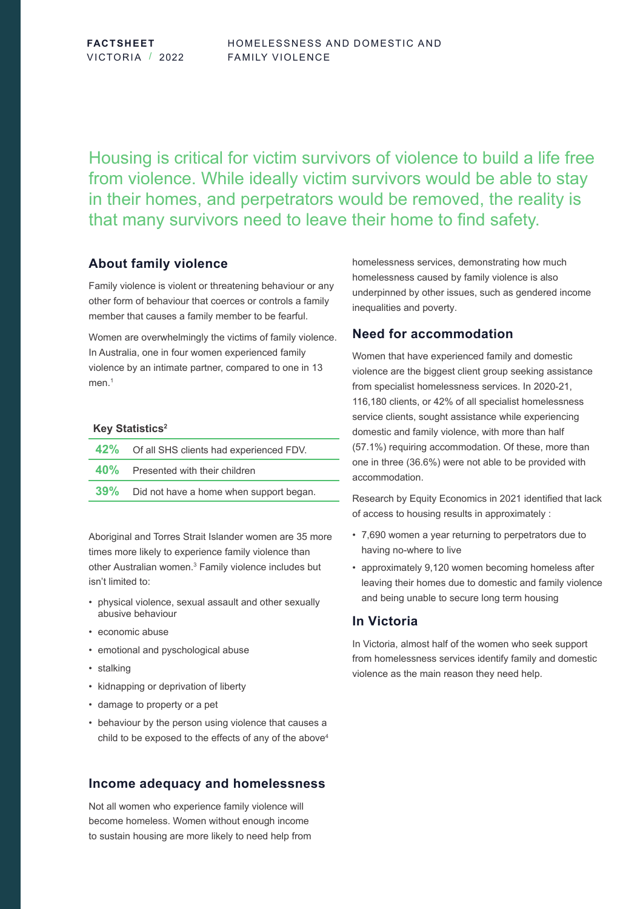**FACTSHEET** VICTORIA / 2022

Housing is critical for victim survivors of violence to build a life free from violence. While ideally victim survivors would be able to stay in their homes, and perpetrators would be removed, the reality is that many survivors need to leave their home to find safety.

## **About family violence**

Family violence is violent or threatening behaviour or any other form of behaviour that coerces or controls a family member that causes a family member to be fearful.

Women are overwhelmingly the victims of family violence. In Australia, one in four women experienced family violence by an intimate partner, compared to one in 13 men.<sup>1</sup>

#### **Key Statistics<sup>2</sup>**

| 42% Of all SHS clients had experienced FDV. |
|---------------------------------------------|
| 40% Presented with their children           |
| 39% Did not have a home when support began. |

Aboriginal and Torres Strait Islander women are 35 more times more likely to experience family violence than other Australian women.<sup>3</sup> Family violence includes but isn't limited to:

- physical violence, sexual assault and other sexually abusive behaviour
- economic abuse
- emotional and pyschological abuse
- stalking
- kidnapping or deprivation of liberty
- damage to property or a pet
- behaviour by the person using violence that causes a child to be exposed to the effects of any of the above<sup>4</sup>

# **Income adequacy and homelessness**

Not all women who experience family violence will become homeless. Women without enough income to sustain housing are more likely to need help from homelessness services, demonstrating how much homelessness caused by family violence is also underpinned by other issues, such as gendered income inequalities and poverty.

## **Need for accommodation**

Women that have experienced family and domestic violence are the biggest client group seeking assistance from specialist homelessness services. In 2020-21, 116,180 clients, or 42% of all specialist homelessness service clients, sought assistance while experiencing domestic and family violence, with more than half (57.1%) requiring accommodation. Of these, more than one in three (36.6%) were not able to be provided with accommodation.

Research by Equity Economics in 2021 identified that lack of access to housing results in approximately :

- 7,690 women a year returning to perpetrators due to having no-where to live
- approximately 9,120 women becoming homeless after leaving their homes due to domestic and family violence and being unable to secure long term housing

# **In Victoria**

In Victoria, almost half of the women who seek support from homelessness services identify family and domestic violence as the main reason they need help.